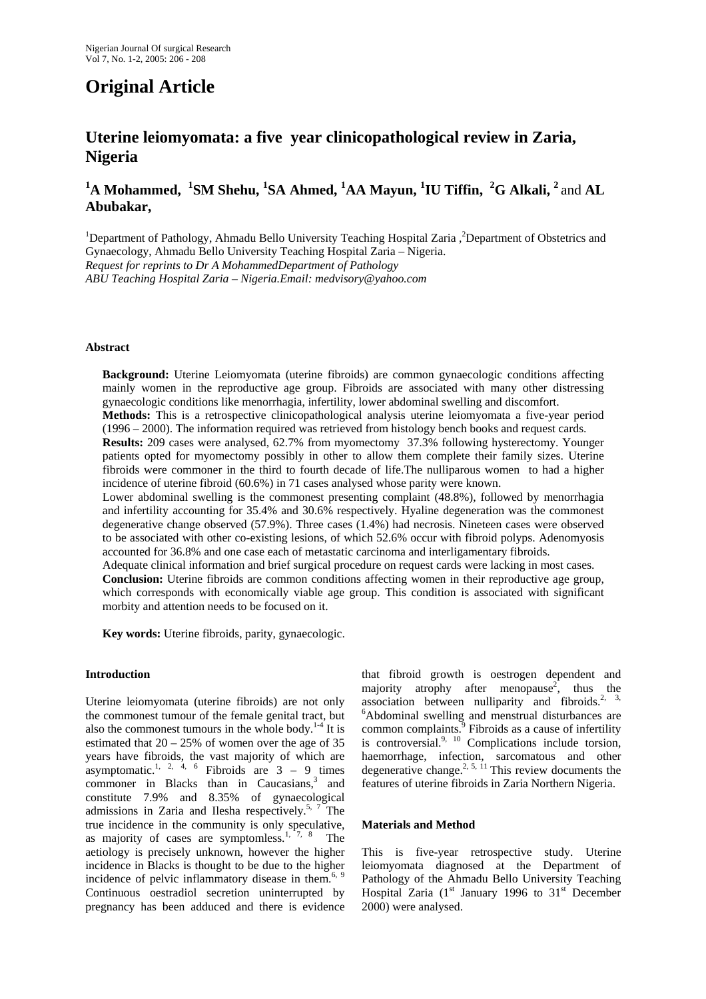# **Original Article**

## **Uterine leiomyomata: a five year clinicopathological review in Zaria, Nigeria**

### **1 A Mohammed, <sup>1</sup> SM Shehu, <sup>1</sup> SA Ahmed, <sup>1</sup> AA Mayun, <sup>1</sup> IU Tiffin, <sup>2</sup> G Alkali, 2** and **AL Abubakar,**

<sup>1</sup>Department of Pathology, Ahmadu Bello University Teaching Hospital Zaria, <sup>2</sup>Department of Obstetrics and Gynaecology, Ahmadu Bello University Teaching Hospital Zaria – Nigeria. *Request for reprints to Dr A MohammedDepartment of Pathology ABU Teaching Hospital Zaria – Nigeria.Email: medvisory@yahoo.com* 

#### **Abstract**

**Background:** Uterine Leiomyomata (uterine fibroids) are common gynaecologic conditions affecting mainly women in the reproductive age group. Fibroids are associated with many other distressing gynaecologic conditions like menorrhagia, infertility, lower abdominal swelling and discomfort.

**Methods:** This is a retrospective clinicopathological analysis uterine leiomyomata a five-year period (1996 – 2000). The information required was retrieved from histology bench books and request cards.

**Results:** 209 cases were analysed, 62.7% from myomectomy 37.3% following hysterectomy. Younger patients opted for myomectomy possibly in other to allow them complete their family sizes. Uterine fibroids were commoner in the third to fourth decade of life.The nulliparous women to had a higher incidence of uterine fibroid (60.6%) in 71 cases analysed whose parity were known.

Lower abdominal swelling is the commonest presenting complaint (48.8%), followed by menorrhagia and infertility accounting for 35.4% and 30.6% respectively. Hyaline degeneration was the commonest degenerative change observed (57.9%). Three cases (1.4%) had necrosis. Nineteen cases were observed to be associated with other co-existing lesions, of which 52.6% occur with fibroid polyps. Adenomyosis accounted for 36.8% and one case each of metastatic carcinoma and interligamentary fibroids.

Adequate clinical information and brief surgical procedure on request cards were lacking in most cases. **Conclusion:** Uterine fibroids are common conditions affecting women in their reproductive age group, which corresponds with economically viable age group. This condition is associated with significant morbity and attention needs to be focused on it.

**Key words:** Uterine fibroids, parity, gynaecologic.

#### **Introduction**

Uterine leiomyomata (uterine fibroids) are not only the commonest tumour of the female genital tract, but also the commonest tumours in the whole body.<sup>1-4</sup> It is estimated that  $20 - 25\%$  of women over the age of 35 years have fibroids, the vast majority of which are asymptomatic.<sup>1, 2, 4, 6</sup> Fibroids are  $3 - 9$  times commoner in Blacks than in Caucasians, $3$  and constitute 7.9% and 8.35% of gynaecological admissions in Zaria and Ilesha respectively.<sup>5, 7</sup> The true incidence in the community is only speculative, as majority of cases are symptomless.1, 7, 8 The aetiology is precisely unknown, however the higher incidence in Blacks is thought to be due to the higher incidence of pelvic inflammatory disease in them.<sup>6, 9</sup> Continuous oestradiol secretion uninterrupted by pregnancy has been adduced and there is evidence

that fibroid growth is oestrogen dependent and majority atrophy after menopause<sup>2</sup>, thus the association between nulliparity and fibroids.<sup>2, 3,</sup> 6 Abdominal swelling and menstrual disturbances are common complaints.<sup>9</sup> Fibroids as a cause of infertility is controversial. $9, 10$  Complications include torsion, haemorrhage, infection, sarcomatous and other degenerative change.<sup>2, 5, 11</sup> This review documents the features of uterine fibroids in Zaria Northern Nigeria.

#### **Materials and Method**

This is five-year retrospective study. Uterine leiomyomata diagnosed at the Department of Pathology of the Ahmadu Bello University Teaching Hospital Zaria  $(1^{st}$  January 1996 to  $31^{st}$  December 2000) were analysed.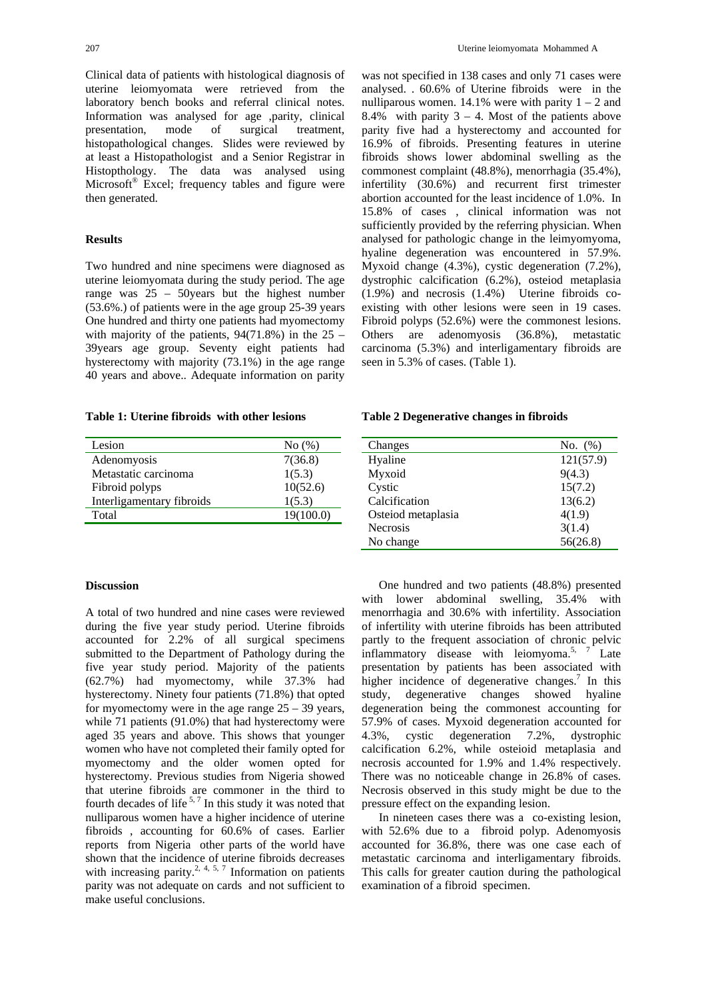Clinical data of patients with histological diagnosis of uterine leiomyomata were retrieved from the laboratory bench books and referral clinical notes. Information was analysed for age ,parity, clinical presentation, mode of surgical treatment, histopathological changes. Slides were reviewed by at least a Histopathologist and a Senior Registrar in Histopthology. The data was analysed using Microsoft<sup>®</sup> Excel; frequency tables and figure were then generated.

#### **Results**

Two hundred and nine specimens were diagnosed as uterine leiomyomata during the study period. The age range was 25 – 50years but the highest number (53.6%.) of patients were in the age group 25-39 years One hundred and thirty one patients had myomectomy with majority of the patients,  $94(71.8\%)$  in the 25 – 39years age group. Seventy eight patients had hysterectomy with majority (73.1%) in the age range 40 years and above.. Adequate information on parity

**Table 1: Uterine fibroids with other lesions** 

| Lesion                    | No(%)     |
|---------------------------|-----------|
| Adenomyosis               | 7(36.8)   |
| Metastatic carcinoma      | 1(5.3)    |
| Fibroid polyps            | 10(52.6)  |
| Interligamentary fibroids | 1(5.3)    |
| Total                     | 19(100.0) |

#### **Discussion**

A total of two hundred and nine cases were reviewed during the five year study period. Uterine fibroids accounted for 2.2% of all surgical specimens submitted to the Department of Pathology during the five year study period. Majority of the patients (62.7%) had myomectomy, while 37.3% had hysterectomy. Ninety four patients (71.8%) that opted for myomectomy were in the age range  $25 - 39$  years, while 71 patients (91.0%) that had hysterectomy were aged 35 years and above. This shows that younger women who have not completed their family opted for myomectomy and the older women opted for hysterectomy. Previous studies from Nigeria showed that uterine fibroids are commoner in the third to fourth decades of life  $5.7$  In this study it was noted that nulliparous women have a higher incidence of uterine fibroids , accounting for 60.6% of cases. Earlier reports from Nigeria other parts of the world have shown that the incidence of uterine fibroids decreases with increasing parity.<sup>2, 4, 5, 7</sup> Information on patients parity was not adequate on cards and not sufficient to make useful conclusions.

was not specified in 138 cases and only 71 cases were analysed. . 60.6% of Uterine fibroids were in the nulliparous women.  $14.1\%$  were with parity  $1 - 2$  and 8.4% with parity  $3 - 4$ . Most of the patients above parity five had a hysterectomy and accounted for 16.9% of fibroids. Presenting features in uterine fibroids shows lower abdominal swelling as the commonest complaint (48.8%), menorrhagia (35.4%), infertility (30.6%) and recurrent first trimester abortion accounted for the least incidence of 1.0%. In 15.8% of cases , clinical information was not sufficiently provided by the referring physician. When analysed for pathologic change in the leimyomyoma, hyaline degeneration was encountered in 57.9%. Myxoid change (4.3%), cystic degeneration (7.2%), dystrophic calcification (6.2%), osteiod metaplasia (1.9%) and necrosis (1.4%) Uterine fibroids coexisting with other lesions were seen in 19 cases. Fibroid polyps (52.6%) were the commonest lesions. Others are adenomyosis (36.8%), metastatic carcinoma (5.3%) and interligamentary fibroids are seen in 5.3% of cases. (Table 1).

**Table 2 Degenerative changes in fibroids** 

| Changes            | No. $(\%)$ |
|--------------------|------------|
| Hyaline            | 121(57.9)  |
| Myxoid             | 9(4.3)     |
| Cystic             | 15(7.2)    |
| Calcification      | 13(6.2)    |
| Osteiod metaplasia | 4(1.9)     |
| <b>Necrosis</b>    | 3(1.4)     |
| No change          | 56(26.8)   |
|                    |            |

One hundred and two patients (48.8%) presented with lower abdominal swelling, 35.4% with menorrhagia and 30.6% with infertility. Association of infertility with uterine fibroids has been attributed partly to the frequent association of chronic pelvic inflammatory disease with leiomyoma.<sup>5, 7</sup> Late presentation by patients has been associated with higher incidence of degenerative changes.<sup>7</sup> In this study, degenerative changes showed hyaline degeneration being the commonest accounting for 57.9% of cases. Myxoid degeneration accounted for 4.3%, cystic degeneration 7.2%, dystrophic calcification 6.2%, while osteioid metaplasia and necrosis accounted for 1.9% and 1.4% respectively. There was no noticeable change in 26.8% of cases. Necrosis observed in this study might be due to the pressure effect on the expanding lesion.

In nineteen cases there was a co-existing lesion, with 52.6% due to a fibroid polyp. Adenomyosis accounted for 36.8%, there was one case each of metastatic carcinoma and interligamentary fibroids. This calls for greater caution during the pathological examination of a fibroid specimen.